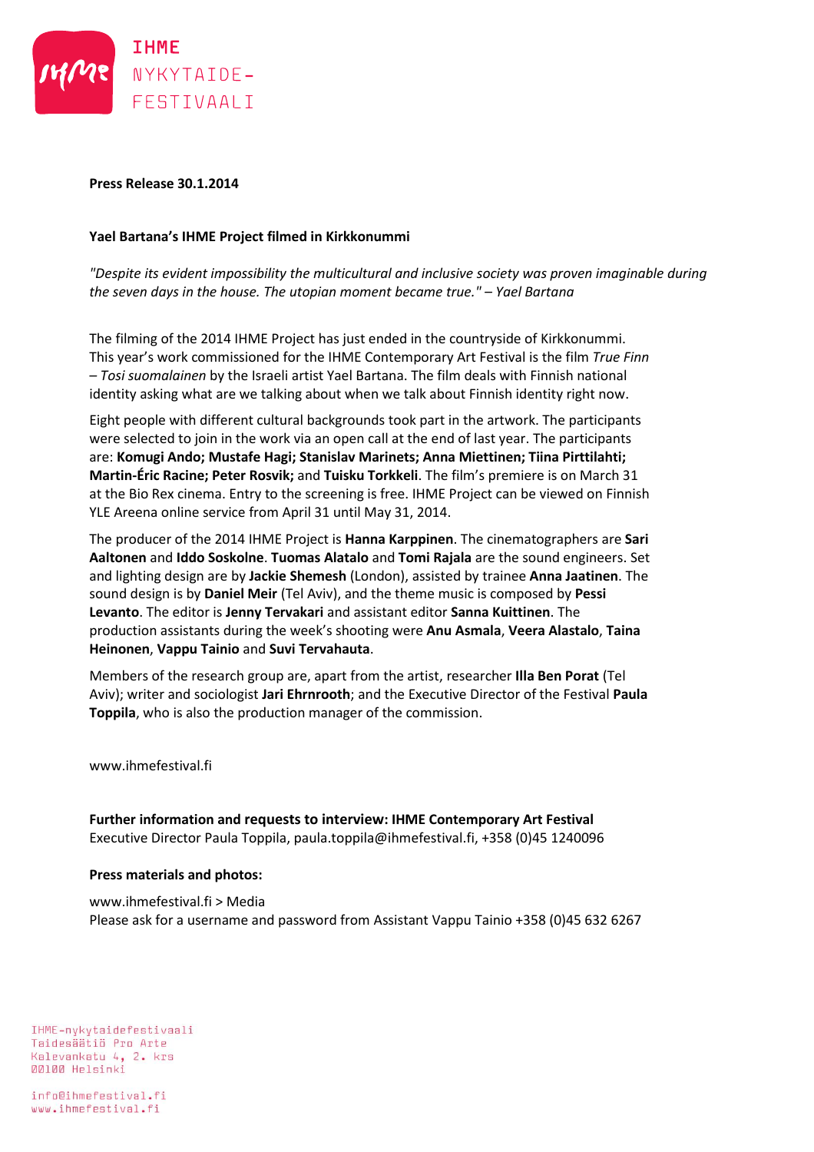

## **Press Release 30.1.2014**

## **Yael Bartana's IHME Project filmed in Kirkkonummi**

*"Despite its evident impossibility the multicultural and inclusive society was proven imaginable during the seven days in the house. The utopian moment became true." – Yael Bartana*

The filming of the 2014 IHME Project has just ended in the countryside of Kirkkonummi. This year's work commissioned for the IHME Contemporary Art Festival is the film *True Finn – Tosi suomalainen* by the Israeli artist Yael Bartana. The film deals with Finnish national identity asking what are we talking about when we talk about Finnish identity right now.

Eight people with different cultural backgrounds took part in the artwork. The participants were selected to join in the work via an open call at the end of last year. The participants are: **Komugi Ando; Mustafe Hagi; Stanislav Marinets; Anna Miettinen; Tiina Pirttilahti; Martin-Éric Racine; Peter Rosvik;** and **Tuisku Torkkeli**. The film's premiere is on March 31 at the Bio Rex cinema. Entry to the screening is free. IHME Project can be viewed on Finnish YLE Areena online service from April 31 until May 31, 2014.

The producer of the 2014 IHME Project is **Hanna Karppinen**. The cinematographers are **Sari Aaltonen** and **Iddo Soskolne**. **Tuomas Alatalo** and **Tomi Rajala** are the sound engineers. Set and lighting design are by **Jackie Shemesh** (London), assisted by trainee **Anna Jaatinen**. The sound design is by **Daniel Meir** (Tel Aviv), and the theme music is composed by **Pessi Levanto**. The editor is **Jenny Tervakari** and assistant editor **Sanna Kuittinen**. The production assistants during the week's shooting were **Anu Asmala**, **Veera Alastalo**, **Taina Heinonen**, **Vappu Tainio** and **Suvi Tervahauta**.

Members of the research group are, apart from the artist, researcher **Illa Ben Porat** (Tel Aviv); writer and sociologist **Jari Ehrnrooth**; and the Executive Director of the Festival **Paula Toppila**, who is also the production manager of the commission.

www.ihmefestival.fi

**Further information and requests to interview: IHME Contemporary Art Festival** Executive Director Paula Toppila, paula.toppila@ihmefestival.fi, +358 (0)45 1240096

## **Press materials and photos:**

www.ihmefestival.fi > Media Please ask for a username and password from Assistant Vappu Tainio +358 (0)45 632 6267

IHME-nykytaidefestivaali Taidesäätiö Pro Arte Kalevankatu 4, 2. krs 00100 Helsinki

info@ihmefestival.fi www.ihmefestival.fi